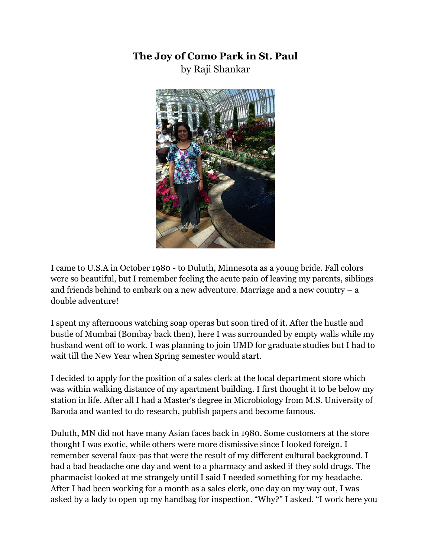## **The Joy of Como Park in St. Paul** by Raji Shankar



I came to U.S.A in October 1980 - to Duluth, Minnesota as a young bride. Fall colors were so beautiful, but I remember feeling the acute pain of leaving my parents, siblings and friends behind to embark on a new adventure. Marriage and a new country  $-$  a double adventure!

I spent my afternoons watching soap operas but soon tired of it. After the hustle and bustle of Mumbai (Bombay back then), here I was surrounded by empty walls while my husband went off to work. I was planning to join UMD for graduate studies but I had to wait till the New Year when Spring semester would start.

I decided to apply for the position of a sales clerk at the local department store which was within walking distance of my apartment building. I first thought it to be below my station in life. After all I had a Master's degree in Microbiology from M.S. University of Baroda and wanted to do research, publish papers and become famous.

Duluth, MN did not have many Asian faces back in 1980. Some customers at the store thought I was exotic, while others were more dismissive since I looked foreign. I remember several faux-pas that were the result of my different cultural background. I had a bad headache one day and went to a pharmacy and asked if they sold drugs. The pharmacist looked at me strangely until I said I needed something for my headache. After I had been working for a month as a sales clerk, one day on my way out, I was asked by a lady to open up my handbag for inspection. "Why?" I asked. "I work here you